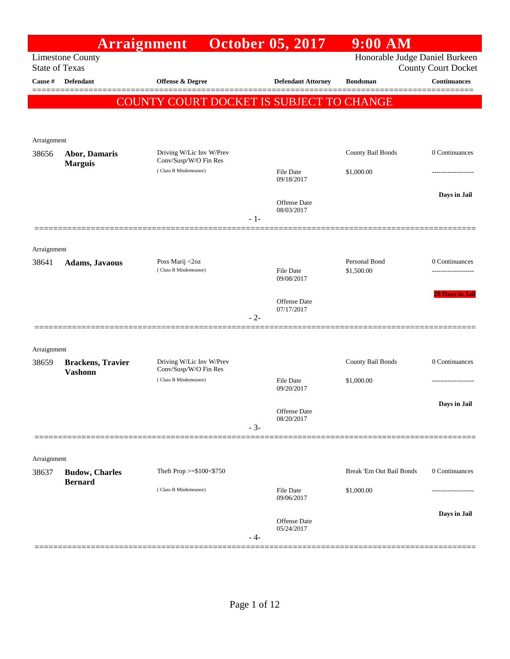|                       | <b>Arraignment</b>                         |                                                   | <b>October 05, 2017</b>                    | $9:00$ AM                      |                            |
|-----------------------|--------------------------------------------|---------------------------------------------------|--------------------------------------------|--------------------------------|----------------------------|
| <b>State of Texas</b> | <b>Limestone County</b>                    |                                                   |                                            | Honorable Judge Daniel Burkeen | <b>County Court Docket</b> |
| Cause #               | Defendant                                  | Offense & Degree                                  | <b>Defendant Attorney</b>                  | <b>Bondsman</b>                | <b>Continuances</b>        |
|                       |                                            | COUNTY COURT DOCKET IS SUBJECT TO CHANGE          |                                            |                                |                            |
|                       |                                            |                                                   |                                            |                                |                            |
| Arraignment           |                                            |                                                   |                                            |                                |                            |
| 38656                 | <b>Abor, Damaris</b>                       | Driving W/Lic Inv W/Prev<br>Conv/Susp/W/O Fin Res |                                            | County Bail Bonds              | 0 Continuances             |
|                       | <b>Marguis</b>                             | (Class B Misdemeanor)                             | <b>File Date</b><br>09/18/2017             | \$1,000.00                     |                            |
|                       |                                            |                                                   | <b>Offense Date</b><br>08/03/2017<br>$-1-$ |                                | Days in Jail               |
|                       |                                            |                                                   |                                            |                                |                            |
| Arraignment           |                                            |                                                   |                                            |                                |                            |
| 38641                 | Adams, Javaous                             | Poss Marij <2oz<br>(Class B Misdemeanor)          | <b>File Date</b><br>09/08/2017             | Personal Bond<br>\$1,500.00    | 0 Continuances             |
|                       |                                            |                                                   | Offense Date<br>07/17/2017<br>$-2-$        |                                | <b>28 Days in Jail</b>     |
|                       |                                            |                                                   |                                            |                                |                            |
| Arraignment           |                                            |                                                   |                                            |                                |                            |
| 38659                 | <b>Brackens, Travier</b><br><b>Vashonn</b> | Driving W/Lic Inv W/Prev<br>Conv/Susp/W/O Fin Res |                                            | County Bail Bonds              | 0 Continuances             |
|                       |                                            | (Class B Misdemeanor)                             | <b>File Date</b><br>09/20/2017             | \$1,000.00                     |                            |
|                       |                                            |                                                   | Offense Date<br>08/20/2017<br>$-3-$        |                                | Days in Jail               |
|                       |                                            |                                                   |                                            |                                |                            |
| Arraignment           |                                            |                                                   |                                            |                                |                            |
| 38637                 | <b>Budow</b> , Charles<br><b>Bernard</b>   | Theft Prop $>= $100 < $750$                       |                                            | Break 'Em Out Bail Bonds       | 0 Continuances             |
|                       |                                            | (Class B Misdemeanor)                             | <b>File Date</b><br>09/06/2017             | \$1,000.00                     |                            |
|                       |                                            |                                                   | Offense Date<br>05/24/2017<br>- 4-         |                                | Days in Jail               |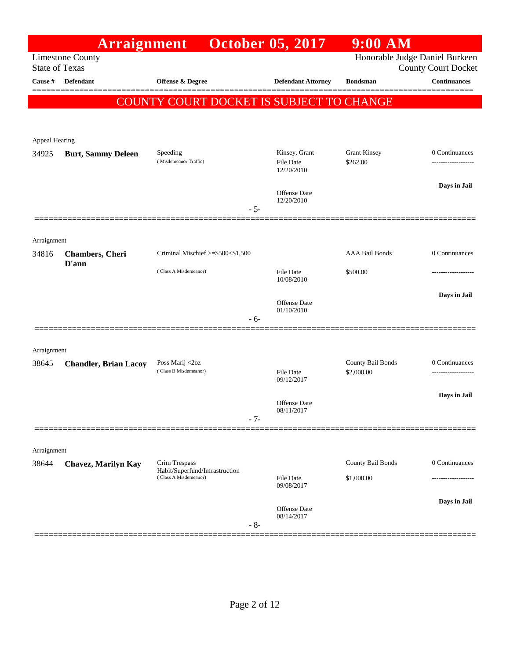|                       | <b>Arraignment</b>               |                                                 |       | <b>October 05, 2017</b>                  | $9:00$ AM                       |                            |
|-----------------------|----------------------------------|-------------------------------------------------|-------|------------------------------------------|---------------------------------|----------------------------|
| <b>State of Texas</b> | <b>Limestone County</b>          |                                                 |       |                                          | Honorable Judge Daniel Burkeen  | <b>County Court Docket</b> |
| Cause #               | <b>Defendant</b>                 | <b>Offense &amp; Degree</b>                     |       | <b>Defendant Attorney</b>                | <b>Bondsman</b>                 | <b>Continuances</b>        |
|                       |                                  | COUNTY COURT DOCKET IS SUBJECT TO CHANGE        |       |                                          |                                 |                            |
| Appeal Hearing        |                                  |                                                 |       |                                          |                                 |                            |
| 34925                 | <b>Burt, Sammy Deleen</b>        | Speeding<br>(Misdemeanor Traffic)               |       | Kinsey, Grant<br>File Date<br>12/20/2010 | <b>Grant Kinsey</b><br>\$262.00 | 0 Continuances             |
|                       |                                  |                                                 | $-5-$ | Offense Date<br>12/20/2010               |                                 | Days in Jail               |
| Arraignment           |                                  |                                                 |       |                                          |                                 |                            |
| 34816                 | <b>Chambers</b> , Cheri<br>D'ann | Criminal Mischief >=\$500<\$1,500               |       |                                          | <b>AAA Bail Bonds</b>           | 0 Continuances             |
|                       |                                  | (Class A Misdemeanor)                           |       | File Date<br>10/08/2010                  | \$500.00                        |                            |
|                       |                                  |                                                 | $-6-$ | Offense Date<br>01/10/2010               |                                 | Days in Jail               |
| Arraignment           |                                  |                                                 |       |                                          |                                 |                            |
| 38645                 | <b>Chandler, Brian Lacoy</b>     | Poss Marij <2oz<br>(Class B Misdemeanor)        |       | File Date<br>09/12/2017                  | County Bail Bonds<br>\$2,000.00 | 0 Continuances             |
|                       |                                  |                                                 | $-7-$ | <b>Offense</b> Date<br>08/11/2017        |                                 | Days in Jail               |
| Arraignment           |                                  |                                                 |       |                                          |                                 |                            |
| 38644                 | <b>Chavez, Marilyn Kay</b>       | Crim Trespass<br>Habit/Superfund/Infrastruction |       |                                          | County Bail Bonds               | 0 Continuances             |
|                       |                                  | (Class A Misdemeanor)                           |       | File Date<br>09/08/2017                  | \$1,000.00                      |                            |
|                       |                                  |                                                 | $-8-$ | Offense Date<br>08/14/2017               |                                 | Days in Jail               |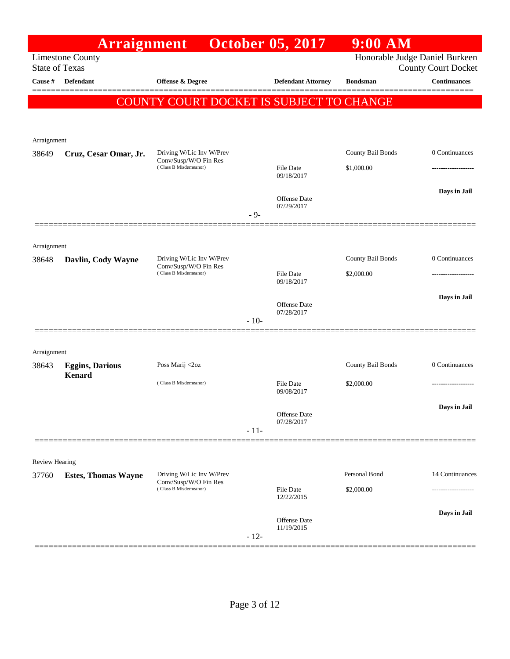|                       | <b>Arraignment</b>                               |                                                                            |        | <b>October 05, 2017</b>        | $9:00$ AM                      |                            |
|-----------------------|--------------------------------------------------|----------------------------------------------------------------------------|--------|--------------------------------|--------------------------------|----------------------------|
|                       | <b>Limestone County</b><br><b>State of Texas</b> |                                                                            |        |                                | Honorable Judge Daniel Burkeen | <b>County Court Docket</b> |
| Cause #               | <b>Defendant</b>                                 | Offense & Degree                                                           |        | <b>Defendant Attorney</b>      | <b>Bondsman</b>                | <b>Continuances</b>        |
|                       |                                                  |                                                                            |        |                                |                                |                            |
|                       |                                                  | COUNTY COURT DOCKET IS SUBJECT TO CHANGE                                   |        |                                |                                |                            |
|                       |                                                  |                                                                            |        |                                |                                |                            |
| Arraignment           |                                                  |                                                                            |        |                                |                                |                            |
| 38649                 | Cruz, Cesar Omar, Jr.                            | Driving W/Lic Inv W/Prev<br>Conv/Susp/W/O Fin Res                          |        |                                | County Bail Bonds              | 0 Continuances             |
|                       |                                                  | (Class B Misdemeanor)                                                      |        | File Date<br>09/18/2017        | \$1,000.00                     |                            |
|                       |                                                  |                                                                            |        |                                |                                | Days in Jail               |
|                       |                                                  |                                                                            |        | Offense Date<br>07/29/2017     |                                |                            |
|                       |                                                  |                                                                            | $-9-$  |                                |                                |                            |
|                       |                                                  |                                                                            |        |                                |                                |                            |
| Arraignment<br>38648  | Davlin, Cody Wayne                               | Driving W/Lic Inv W/Prev                                                   |        |                                | County Bail Bonds              | 0 Continuances             |
|                       |                                                  | Conv/Susp/W/O Fin Res<br>(Class B Misdemeanor)                             |        | File Date                      | \$2,000.00                     | ------------------         |
|                       |                                                  |                                                                            |        | 09/18/2017                     |                                |                            |
|                       |                                                  |                                                                            |        | <b>Offense Date</b>            |                                | Days in Jail               |
|                       |                                                  |                                                                            | $-10-$ | 07/28/2017                     |                                |                            |
|                       |                                                  |                                                                            |        |                                |                                |                            |
| Arraignment           |                                                  |                                                                            |        |                                |                                |                            |
| 38643                 | <b>Eggins, Darious</b><br>Kenard                 | Poss Marij <2oz                                                            |        |                                | County Bail Bonds              | 0 Continuances             |
|                       |                                                  | (Class B Misdemeanor)                                                      |        | <b>File Date</b><br>09/08/2017 | \$2,000.00                     | -------------------        |
|                       |                                                  |                                                                            |        |                                |                                | Days in Jail               |
|                       |                                                  |                                                                            |        | Offense Date<br>07/28/2017     |                                |                            |
|                       |                                                  |                                                                            | $-11-$ |                                |                                |                            |
|                       |                                                  |                                                                            |        |                                |                                |                            |
| <b>Review Hearing</b> |                                                  |                                                                            |        |                                |                                |                            |
| 37760                 | <b>Estes, Thomas Wayne</b>                       | Driving W/Lic Inv W/Prev<br>Conv/Susp/W/O Fin Res<br>(Class B Misdemeanor) |        |                                | Personal Bond                  | 14 Continuances            |
|                       |                                                  |                                                                            |        | File Date<br>12/22/2015        | \$2,000.00                     |                            |
|                       |                                                  |                                                                            |        | <b>Offense Date</b>            |                                | Days in Jail               |
|                       |                                                  |                                                                            |        | 11/19/2015                     |                                |                            |
|                       |                                                  |                                                                            | $-12-$ |                                |                                |                            |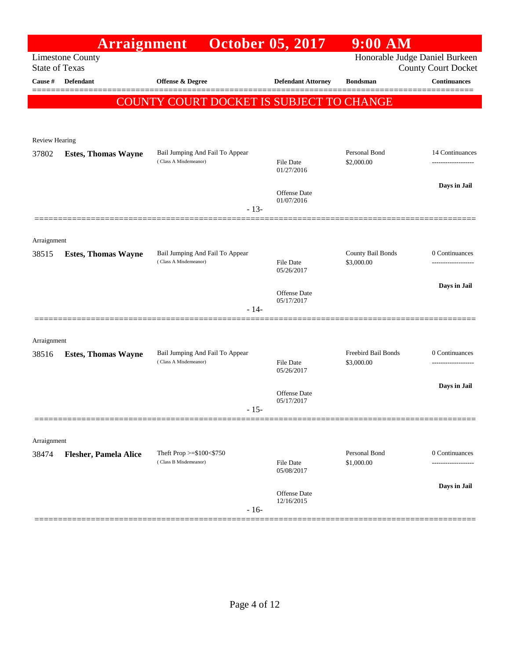|                       | Arraignment                  |                                                          | <b>October 05, 2017</b>    | $9:00$ AM                         |                            |
|-----------------------|------------------------------|----------------------------------------------------------|----------------------------|-----------------------------------|----------------------------|
| <b>State of Texas</b> | <b>Limestone County</b>      |                                                          |                            | Honorable Judge Daniel Burkeen    | <b>County Court Docket</b> |
| <b>Cause #</b>        | Defendant                    | <b>Offense &amp; Degree</b>                              | <b>Defendant Attorney</b>  | <b>Bondsman</b>                   | <b>Continuances</b>        |
|                       |                              | COUNTY COURT DOCKET IS SUBJECT TO CHANGE                 |                            |                                   | =======                    |
|                       |                              |                                                          |                            |                                   |                            |
| Review Hearing        |                              |                                                          |                            |                                   |                            |
| 37802                 | <b>Estes, Thomas Wayne</b>   | Bail Jumping And Fail To Appear                          |                            | Personal Bond                     | 14 Continuances            |
|                       |                              | (Class A Misdemeanor)                                    | File Date<br>01/27/2016    | \$2,000.00                        |                            |
|                       |                              |                                                          | Offense Date               |                                   | Days in Jail               |
|                       |                              | $-13-$                                                   | 01/07/2016                 |                                   |                            |
|                       |                              |                                                          |                            |                                   |                            |
| Arraignment           |                              |                                                          |                            |                                   |                            |
| 38515                 | <b>Estes, Thomas Wayne</b>   | Bail Jumping And Fail To Appear<br>(Class A Misdemeanor) |                            | County Bail Bonds                 | 0 Continuances             |
|                       |                              |                                                          | File Date<br>05/26/2017    | \$3,000.00                        |                            |
|                       |                              |                                                          | Offense Date               |                                   | Days in Jail               |
|                       |                              | $-14-$                                                   | 05/17/2017                 |                                   |                            |
|                       |                              |                                                          |                            |                                   |                            |
| Arraignment           |                              |                                                          |                            |                                   |                            |
| 38516                 | <b>Estes, Thomas Wayne</b>   | Bail Jumping And Fail To Appear<br>(Class A Misdemeanor) | File Date                  | Freebird Bail Bonds<br>\$3,000.00 | 0 Continuances             |
|                       |                              |                                                          | 05/26/2017                 |                                   |                            |
|                       |                              |                                                          | Offense Date               |                                   | Days in Jail               |
|                       |                              | $-15-$                                                   | 05/17/2017                 |                                   |                            |
|                       |                              |                                                          |                            |                                   |                            |
| Arraignment           |                              |                                                          |                            |                                   |                            |
| 38474                 | <b>Flesher, Pamela Alice</b> | Theft Prop $>= $100 < $750$<br>(Class B Misdemeanor)     | File Date                  | Personal Bond<br>\$1,000.00       | 0 Continuances             |
|                       |                              |                                                          | 05/08/2017                 |                                   |                            |
|                       |                              |                                                          | Offense Date<br>12/16/2015 |                                   | Days in Jail               |
|                       |                              | $-16-$                                                   |                            |                                   |                            |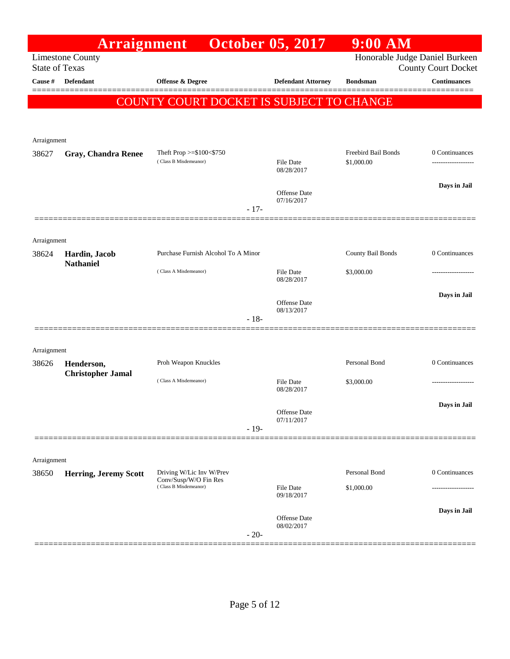|                       | Arraignment                            |                                                   |        | <b>October 05, 2017</b>           | $9:00$ AM                         |                            |
|-----------------------|----------------------------------------|---------------------------------------------------|--------|-----------------------------------|-----------------------------------|----------------------------|
| <b>State of Texas</b> | <b>Limestone County</b>                |                                                   |        |                                   | Honorable Judge Daniel Burkeen    | <b>County Court Docket</b> |
| Cause #               | <b>Defendant</b>                       | Offense & Degree                                  |        | <b>Defendant Attorney</b>         | <b>Bondsman</b>                   | <b>Continuances</b>        |
|                       |                                        | COUNTY COURT DOCKET IS SUBJECT TO CHANGE          |        |                                   |                                   |                            |
| Arraignment           |                                        |                                                   |        |                                   |                                   |                            |
| 38627                 | <b>Gray, Chandra Renee</b>             | Theft Prop >=\$100<\$750<br>(Class B Misdemeanor) |        | <b>File Date</b><br>08/28/2017    | Freebird Bail Bonds<br>\$1,000.00 | 0 Continuances             |
|                       |                                        |                                                   | $-17-$ | <b>Offense Date</b><br>07/16/2017 |                                   | Days in Jail               |
| Arraignment           |                                        |                                                   |        |                                   |                                   |                            |
| 38624                 | Hardin, Jacob                          | Purchase Furnish Alcohol To A Minor               |        |                                   | County Bail Bonds                 | 0 Continuances             |
|                       | <b>Nathaniel</b>                       | (Class A Misdemeanor)                             |        | <b>File Date</b><br>08/28/2017    | \$3,000.00                        |                            |
|                       |                                        |                                                   | $-18-$ | <b>Offense</b> Date<br>08/13/2017 |                                   | Days in Jail               |
|                       |                                        |                                                   |        |                                   |                                   |                            |
| Arraignment           |                                        |                                                   |        |                                   | Personal Bond                     | 0 Continuances             |
| 38626                 | Henderson,<br><b>Christopher Jamal</b> | Proh Weapon Knuckles                              |        |                                   |                                   |                            |
|                       |                                        | (Class A Misdemeanor)                             |        | <b>File Date</b><br>08/28/2017    | \$3,000.00                        |                            |
|                       |                                        |                                                   |        | Offense Date<br>07/11/2017        |                                   | Days in Jail               |
|                       |                                        |                                                   | $-19-$ |                                   |                                   |                            |
| Arraignment           |                                        |                                                   |        |                                   |                                   |                            |
| 38650                 | <b>Herring, Jeremy Scott</b>           | Driving W/Lic Inv W/Prev<br>Conv/Susp/W/O Fin Res |        |                                   | Personal Bond                     | 0 Continuances             |
|                       |                                        | (Class B Misdemeanor)                             |        | <b>File Date</b><br>09/18/2017    | \$1,000.00                        |                            |
|                       |                                        |                                                   | $-20-$ | Offense Date<br>08/02/2017        |                                   | Days in Jail               |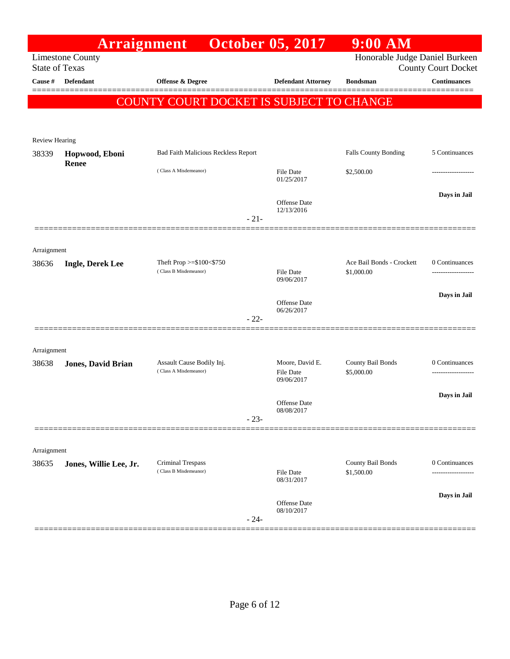|                       | Arraignment               |                                                      | <b>October 05, 2017</b>                           | $9:00$ AM                               |                                     |
|-----------------------|---------------------------|------------------------------------------------------|---------------------------------------------------|-----------------------------------------|-------------------------------------|
| <b>State of Texas</b> | <b>Limestone County</b>   |                                                      |                                                   | Honorable Judge Daniel Burkeen          | <b>County Court Docket</b>          |
| Cause #               | <b>Defendant</b>          | <b>Offense &amp; Degree</b>                          | <b>Defendant Attorney</b>                         | <b>Bondsman</b>                         | <b>Continuances</b>                 |
|                       |                           | COUNTY COURT DOCKET IS SUBJECT TO CHANGE             |                                                   |                                         |                                     |
|                       |                           |                                                      |                                                   |                                         |                                     |
| Review Hearing        |                           |                                                      |                                                   |                                         |                                     |
| 38339                 | Hopwood, Eboni            | <b>Bad Faith Malicious Reckless Report</b>           |                                                   | Falls County Bonding                    | 5 Continuances                      |
|                       | Renee                     | (Class A Misdemeanor)                                | <b>File Date</b><br>01/25/2017                    | \$2,500.00                              | .                                   |
|                       |                           | $-21-$                                               | <b>Offense Date</b><br>12/13/2016                 |                                         | Days in Jail                        |
|                       |                           |                                                      |                                                   |                                         |                                     |
| Arraignment<br>38636  | <b>Ingle, Derek Lee</b>   | Theft Prop $>= $100 < $750$<br>(Class B Misdemeanor) | <b>File Date</b>                                  | Ace Bail Bonds - Crockett<br>\$1,000.00 | 0 Continuances<br>----------------- |
|                       |                           |                                                      | 09/06/2017<br><b>Offense Date</b><br>06/26/2017   |                                         | Days in Jail                        |
|                       |                           | $-22-$                                               |                                                   |                                         |                                     |
|                       |                           |                                                      |                                                   |                                         |                                     |
| Arraignment<br>38638  | <b>Jones, David Brian</b> | Assault Cause Bodily Inj.<br>(Class A Misdemeanor)   | Moore, David E.<br><b>File Date</b><br>09/06/2017 | County Bail Bonds<br>\$5,000.00         | 0 Continuances                      |
|                       |                           |                                                      | Offense Date<br>08/08/2017                        |                                         | Days in Jail                        |
|                       |                           | $-23-$                                               |                                                   |                                         |                                     |
|                       |                           |                                                      |                                                   |                                         |                                     |
| Arraignment<br>38635  | Jones, Willie Lee, Jr.    | Criminal Trespass                                    |                                                   | County Bail Bonds                       | 0 Continuances                      |
|                       |                           | (Class B Misdemeanor)                                | <b>File Date</b><br>08/31/2017                    | \$1,500.00                              |                                     |
|                       |                           | $-24-$                                               | <b>Offense Date</b><br>08/10/2017                 |                                         | Days in Jail                        |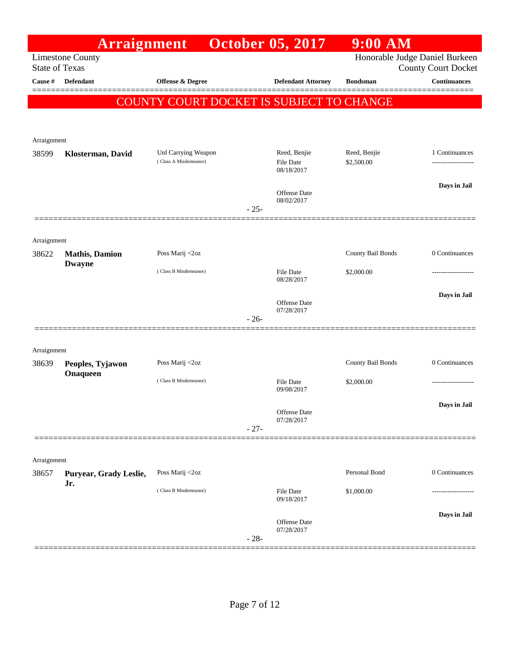| Honorable Judge Daniel Burkeen<br><b>Limestone County</b><br><b>State of Texas</b><br>Defendant<br>Offense & Degree<br>Cause #<br><b>Defendant Attorney</b><br><b>Bondsman</b><br>COUNTY COURT DOCKET IS SUBJECT TO CHANGE<br>Arraignment<br>Reed, Benjie<br>Reed, Benjie<br>Unl Carrying Weapon<br>38599<br>Klosterman, David<br>(Class A Misdemeanor)<br>\$2,500.00<br><b>File Date</b><br>08/18/2017<br>Offense Date<br>08/02/2017<br>$-25-$<br>Arraignment<br>County Bail Bonds<br>0 Continuances<br>Poss Marij <2oz<br>38622<br><b>Mathis</b> , Damion<br><b>Dwayne</b><br>(Class B Misdemeanor)<br><b>File Date</b><br>\$2,000.00<br>08/28/2017<br>Offense Date<br>07/28/2017<br>$-26-$<br>Arraignment<br>County Bail Bonds<br>Poss Marij <2oz<br>38639<br>Peoples, Tyjawon<br>Onaqueen<br>(Class B Misdemeanor)<br><b>File Date</b><br>\$2,000.00<br>09/08/2017<br>Offense Date<br>07/28/2017<br>$-27-$ |                   |                            | $9:00$ AM | <b>October 05, 2017</b> | <b>Arraignment</b> |  |
|----------------------------------------------------------------------------------------------------------------------------------------------------------------------------------------------------------------------------------------------------------------------------------------------------------------------------------------------------------------------------------------------------------------------------------------------------------------------------------------------------------------------------------------------------------------------------------------------------------------------------------------------------------------------------------------------------------------------------------------------------------------------------------------------------------------------------------------------------------------------------------------------------------------|-------------------|----------------------------|-----------|-------------------------|--------------------|--|
|                                                                                                                                                                                                                                                                                                                                                                                                                                                                                                                                                                                                                                                                                                                                                                                                                                                                                                                |                   | <b>County Court Docket</b> |           |                         |                    |  |
|                                                                                                                                                                                                                                                                                                                                                                                                                                                                                                                                                                                                                                                                                                                                                                                                                                                                                                                |                   | <b>Continuances</b>        |           |                         |                    |  |
|                                                                                                                                                                                                                                                                                                                                                                                                                                                                                                                                                                                                                                                                                                                                                                                                                                                                                                                |                   |                            |           |                         |                    |  |
|                                                                                                                                                                                                                                                                                                                                                                                                                                                                                                                                                                                                                                                                                                                                                                                                                                                                                                                |                   |                            |           |                         |                    |  |
|                                                                                                                                                                                                                                                                                                                                                                                                                                                                                                                                                                                                                                                                                                                                                                                                                                                                                                                |                   |                            |           |                         |                    |  |
|                                                                                                                                                                                                                                                                                                                                                                                                                                                                                                                                                                                                                                                                                                                                                                                                                                                                                                                |                   | 1 Continuances             |           |                         |                    |  |
|                                                                                                                                                                                                                                                                                                                                                                                                                                                                                                                                                                                                                                                                                                                                                                                                                                                                                                                | ----------------- |                            |           |                         |                    |  |
|                                                                                                                                                                                                                                                                                                                                                                                                                                                                                                                                                                                                                                                                                                                                                                                                                                                                                                                | Days in Jail      |                            |           |                         |                    |  |
|                                                                                                                                                                                                                                                                                                                                                                                                                                                                                                                                                                                                                                                                                                                                                                                                                                                                                                                |                   |                            |           |                         |                    |  |
|                                                                                                                                                                                                                                                                                                                                                                                                                                                                                                                                                                                                                                                                                                                                                                                                                                                                                                                |                   |                            |           |                         |                    |  |
|                                                                                                                                                                                                                                                                                                                                                                                                                                                                                                                                                                                                                                                                                                                                                                                                                                                                                                                |                   |                            |           |                         |                    |  |
|                                                                                                                                                                                                                                                                                                                                                                                                                                                                                                                                                                                                                                                                                                                                                                                                                                                                                                                |                   |                            |           |                         |                    |  |
|                                                                                                                                                                                                                                                                                                                                                                                                                                                                                                                                                                                                                                                                                                                                                                                                                                                                                                                |                   |                            |           |                         |                    |  |
|                                                                                                                                                                                                                                                                                                                                                                                                                                                                                                                                                                                                                                                                                                                                                                                                                                                                                                                |                   |                            |           |                         |                    |  |
|                                                                                                                                                                                                                                                                                                                                                                                                                                                                                                                                                                                                                                                                                                                                                                                                                                                                                                                | Days in Jail      |                            |           |                         |                    |  |
|                                                                                                                                                                                                                                                                                                                                                                                                                                                                                                                                                                                                                                                                                                                                                                                                                                                                                                                |                   |                            |           |                         |                    |  |
|                                                                                                                                                                                                                                                                                                                                                                                                                                                                                                                                                                                                                                                                                                                                                                                                                                                                                                                |                   |                            |           |                         |                    |  |
|                                                                                                                                                                                                                                                                                                                                                                                                                                                                                                                                                                                                                                                                                                                                                                                                                                                                                                                |                   |                            |           |                         |                    |  |
|                                                                                                                                                                                                                                                                                                                                                                                                                                                                                                                                                                                                                                                                                                                                                                                                                                                                                                                |                   | 0 Continuances             |           |                         |                    |  |
|                                                                                                                                                                                                                                                                                                                                                                                                                                                                                                                                                                                                                                                                                                                                                                                                                                                                                                                | ----------------  |                            |           |                         |                    |  |
|                                                                                                                                                                                                                                                                                                                                                                                                                                                                                                                                                                                                                                                                                                                                                                                                                                                                                                                |                   |                            |           |                         |                    |  |
|                                                                                                                                                                                                                                                                                                                                                                                                                                                                                                                                                                                                                                                                                                                                                                                                                                                                                                                | Days in Jail      |                            |           |                         |                    |  |
|                                                                                                                                                                                                                                                                                                                                                                                                                                                                                                                                                                                                                                                                                                                                                                                                                                                                                                                |                   |                            |           |                         |                    |  |
|                                                                                                                                                                                                                                                                                                                                                                                                                                                                                                                                                                                                                                                                                                                                                                                                                                                                                                                |                   |                            |           |                         |                    |  |
| Arraignment                                                                                                                                                                                                                                                                                                                                                                                                                                                                                                                                                                                                                                                                                                                                                                                                                                                                                                    |                   |                            |           |                         |                    |  |
| Personal Bond<br>Poss Marij <2oz<br>38657<br>Puryear, Grady Leslie,                                                                                                                                                                                                                                                                                                                                                                                                                                                                                                                                                                                                                                                                                                                                                                                                                                            |                   | 0 Continuances             |           |                         |                    |  |
| Jr.<br>(Class B Misdemeanor)<br><b>File Date</b><br>\$1,000.00                                                                                                                                                                                                                                                                                                                                                                                                                                                                                                                                                                                                                                                                                                                                                                                                                                                 |                   |                            |           |                         |                    |  |
| 09/18/2017                                                                                                                                                                                                                                                                                                                                                                                                                                                                                                                                                                                                                                                                                                                                                                                                                                                                                                     |                   |                            |           |                         |                    |  |
| Offense Date                                                                                                                                                                                                                                                                                                                                                                                                                                                                                                                                                                                                                                                                                                                                                                                                                                                                                                   | Days in Jail      |                            |           |                         |                    |  |
| 07/28/2017<br>$-28-$                                                                                                                                                                                                                                                                                                                                                                                                                                                                                                                                                                                                                                                                                                                                                                                                                                                                                           |                   |                            |           |                         |                    |  |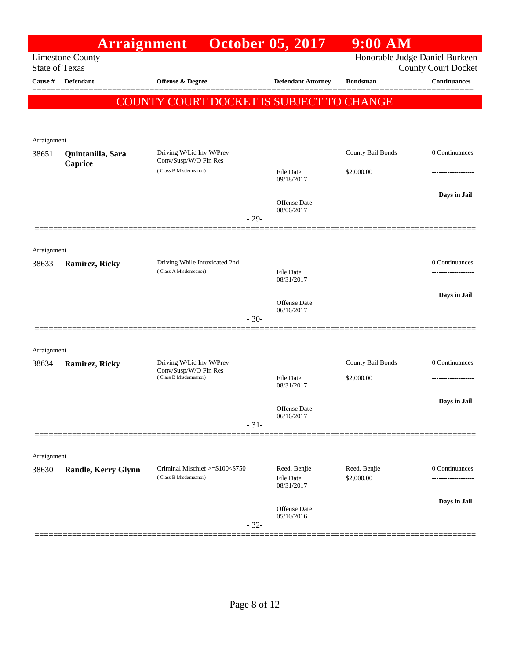|                       |                            | <b>Arraignment</b> October 05, 2017                    |                                   | $9:00$ AM         |                                                              |
|-----------------------|----------------------------|--------------------------------------------------------|-----------------------------------|-------------------|--------------------------------------------------------------|
| <b>State of Texas</b> | <b>Limestone County</b>    |                                                        |                                   |                   | Honorable Judge Daniel Burkeen<br><b>County Court Docket</b> |
| Cause $\#$            | <b>Defendant</b>           | Offense & Degree                                       | <b>Defendant Attorney</b>         | <b>Bondsman</b>   | <b>Continuances</b>                                          |
|                       |                            | <b>COUNTY COURT DOCKET IS SUBJECT TO CHANGE</b>        |                                   |                   |                                                              |
|                       |                            |                                                        |                                   |                   |                                                              |
| Arraignment           |                            |                                                        |                                   |                   |                                                              |
| 38651                 | Quintanilla, Sara          | Driving W/Lic Inv W/Prev<br>Conv/Susp/W/O Fin Res      |                                   | County Bail Bonds | 0 Continuances                                               |
|                       | Caprice                    | (Class B Misdemeanor)                                  | <b>File Date</b><br>09/18/2017    | \$2,000.00        |                                                              |
|                       |                            |                                                        | <b>Offense</b> Date               |                   | Days in Jail                                                 |
|                       |                            | $-29-$                                                 | 08/06/2017                        |                   |                                                              |
|                       |                            |                                                        |                                   |                   |                                                              |
| Arraignment           |                            |                                                        |                                   |                   |                                                              |
| 38633                 | Ramirez, Ricky             | Driving While Intoxicated 2nd<br>(Class A Misdemeanor) | <b>File Date</b>                  |                   | 0 Continuances                                               |
|                       |                            |                                                        | 08/31/2017                        |                   |                                                              |
|                       |                            |                                                        | <b>Offense</b> Date<br>06/16/2017 |                   | Days in Jail                                                 |
|                       |                            | $-30-$                                                 |                                   |                   |                                                              |
|                       |                            |                                                        |                                   |                   |                                                              |
| Arraignment<br>38634  | Ramirez, Ricky             | Driving W/Lic Inv W/Prev                               |                                   | County Bail Bonds | 0 Continuances                                               |
|                       |                            | Conv/Susp/W/O Fin Res<br>(Class B Misdemeanor)         | <b>File Date</b>                  | \$2,000.00        |                                                              |
|                       |                            |                                                        | 08/31/2017                        |                   |                                                              |
|                       |                            |                                                        | Offense Date                      |                   | Days in Jail                                                 |
|                       |                            | $-31-$                                                 | 06/16/2017                        |                   |                                                              |
|                       |                            |                                                        |                                   |                   |                                                              |
| Arraignment           |                            | Criminal Mischief >=\$100<\$750                        | Reed, Benjie                      | Reed, Benjie      | 0 Continuances                                               |
| 38630                 | <b>Randle, Kerry Glynn</b> | (Class B Misdemeanor)                                  | File Date<br>08/31/2017           | \$2,000.00        |                                                              |
|                       |                            |                                                        |                                   |                   | Days in Jail                                                 |
|                       |                            |                                                        | Offense Date<br>05/10/2016        |                   |                                                              |
|                       |                            | $-32-$                                                 |                                   |                   |                                                              |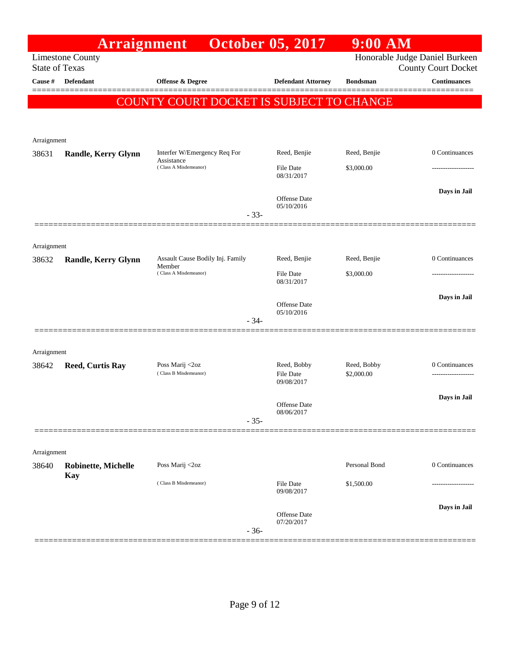|             | <b>Arraignment</b>                               |                                            | <b>October 05, 2017</b>           | $9:00$ AM       |                                                              |
|-------------|--------------------------------------------------|--------------------------------------------|-----------------------------------|-----------------|--------------------------------------------------------------|
|             | <b>Limestone County</b><br><b>State of Texas</b> |                                            |                                   |                 | Honorable Judge Daniel Burkeen<br><b>County Court Docket</b> |
| Cause #     | <b>Defendant</b>                                 | <b>Offense &amp; Degree</b>                | <b>Defendant Attorney</b>         | <b>Bondsman</b> | <b>Continuances</b>                                          |
|             |                                                  | COUNTY COURT DOCKET IS SUBJECT TO CHANGE   |                                   |                 |                                                              |
|             |                                                  |                                            |                                   |                 |                                                              |
| Arraignment |                                                  |                                            |                                   |                 |                                                              |
| 38631       | Randle, Kerry Glynn                              | Interfer W/Emergency Req For<br>Assistance | Reed, Benjie                      | Reed, Benjie    | 0 Continuances                                               |
|             |                                                  | (Class A Misdemeanor)                      | <b>File Date</b><br>08/31/2017    | \$3,000.00      | .                                                            |
|             |                                                  |                                            | <b>Offense Date</b>               |                 | Days in Jail                                                 |
|             |                                                  | $-33-$                                     | 05/10/2016                        |                 |                                                              |
|             |                                                  |                                            |                                   |                 |                                                              |
| Arraignment |                                                  |                                            |                                   |                 |                                                              |
| 38632       | <b>Randle, Kerry Glynn</b>                       | Assault Cause Bodily Inj. Family<br>Member | Reed, Benjie                      | Reed, Benjie    | 0 Continuances                                               |
|             |                                                  | (Class A Misdemeanor)                      | File Date<br>08/31/2017           | \$3,000.00      | ----------------                                             |
|             |                                                  |                                            |                                   |                 | Days in Jail                                                 |
|             |                                                  |                                            | <b>Offense Date</b><br>05/10/2016 |                 |                                                              |
|             |                                                  | $-34-$                                     |                                   |                 |                                                              |
| Arraignment |                                                  |                                            |                                   |                 |                                                              |
| 38642       | <b>Reed, Curtis Ray</b>                          | Poss Marij <2oz                            | Reed, Bobby                       | Reed, Bobby     | 0 Continuances                                               |
|             |                                                  | (Class B Misdemeanor)                      | File Date<br>09/08/2017           | \$2,000.00      | -------------------                                          |
|             |                                                  |                                            | <b>Offense</b> Date               |                 | Days in Jail                                                 |
|             |                                                  | $-35-$                                     | 08/06/2017                        |                 |                                                              |
|             |                                                  |                                            |                                   |                 |                                                              |
| Arraignment |                                                  |                                            |                                   |                 |                                                              |
| 38640       | <b>Robinette, Michelle</b>                       | Poss Marij <2oz                            |                                   | Personal Bond   | 0 Continuances                                               |
|             | <b>Kay</b>                                       | (Class B Misdemeanor)                      | <b>File Date</b><br>09/08/2017    | \$1,500.00      |                                                              |
|             |                                                  |                                            |                                   |                 | Days in Jail                                                 |
|             |                                                  |                                            | <b>Offense Date</b><br>07/20/2017 |                 |                                                              |
|             |                                                  | $-36-$                                     |                                   |                 |                                                              |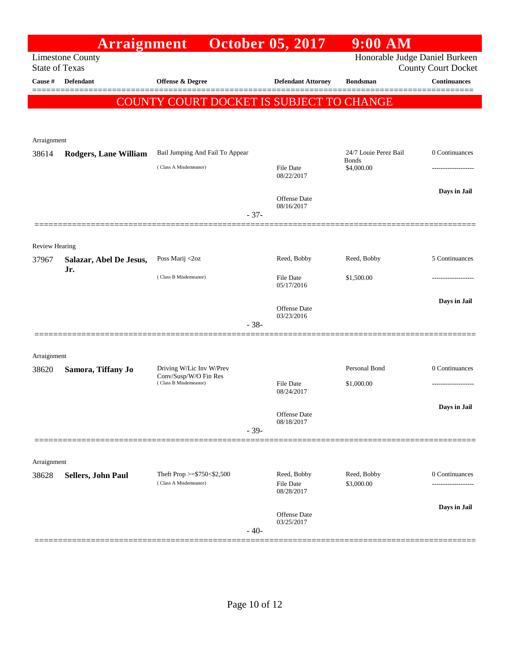|                       | <b>Arraignment</b>           |                                                   | <b>October 05, 2017</b>           | $9:00$ AM                             |                            |
|-----------------------|------------------------------|---------------------------------------------------|-----------------------------------|---------------------------------------|----------------------------|
| <b>State of Texas</b> | <b>Limestone County</b>      |                                                   |                                   | Honorable Judge Daniel Burkeen        | <b>County Court Docket</b> |
| Cause #               | <b>Defendant</b>             | <b>Offense &amp; Degree</b>                       | <b>Defendant Attorney</b>         | <b>Bondsman</b>                       | <b>Continuances</b>        |
|                       |                              | COUNTY COURT DOCKET IS SUBJECT TO CHANGE          |                                   |                                       |                            |
|                       |                              |                                                   |                                   |                                       |                            |
| Arraignment           |                              |                                                   |                                   |                                       |                            |
| 38614                 | <b>Rodgers, Lane William</b> | Bail Jumping And Fail To Appear                   |                                   | 24/7 Louie Perez Bail<br><b>Bonds</b> | 0 Continuances             |
|                       |                              | (Class A Misdemeanor)                             | File Date<br>08/22/2017           | \$4,000.00                            | -----------------          |
|                       |                              |                                                   | <b>Offense</b> Date<br>08/16/2017 |                                       | Days in Jail               |
|                       |                              | $-37-$                                            |                                   |                                       |                            |
| <b>Review Hearing</b> |                              |                                                   |                                   |                                       |                            |
| 37967                 | Salazar, Abel De Jesus,      | Poss Marij <2oz                                   | Reed, Bobby                       | Reed, Bobby                           | 5 Continuances             |
|                       | Jr.                          | (Class B Misdemeanor)                             | File Date<br>05/17/2016           | \$1,500.00                            |                            |
|                       |                              |                                                   | <b>Offense</b> Date               |                                       | Days in Jail               |
|                       |                              | $-38-$                                            | 03/23/2016                        |                                       |                            |
|                       |                              |                                                   |                                   |                                       |                            |
| Arraignment           |                              |                                                   |                                   |                                       |                            |
| 38620                 | Samora, Tiffany Jo           | Driving W/Lic Inv W/Prev<br>Conv/Susp/W/O Fin Res |                                   | Personal Bond                         | 0 Continuances             |
|                       |                              | (Class B Misdemeanor)                             | File Date<br>08/24/2017           | \$1,000.00                            |                            |
|                       |                              |                                                   |                                   |                                       | Days in Jail               |
|                       |                              |                                                   | Offense Date<br>08/18/2017        |                                       |                            |
|                       |                              | $-39-$                                            |                                   |                                       |                            |
|                       |                              |                                                   |                                   |                                       |                            |
| Arraignment<br>38628  | Sellers, John Paul           | Theft Prop >=\$750<\$2,500                        | Reed, Bobby                       | Reed, Bobby                           | 0 Continuances             |
|                       |                              | (Class A Misdemeanor)                             | File Date<br>08/28/2017           | \$3,000.00                            | .                          |
|                       |                              |                                                   | <b>Offense</b> Date<br>03/25/2017 |                                       | Days in Jail               |
|                       |                              | $-40-$                                            |                                   |                                       |                            |
|                       |                              |                                                   |                                   |                                       |                            |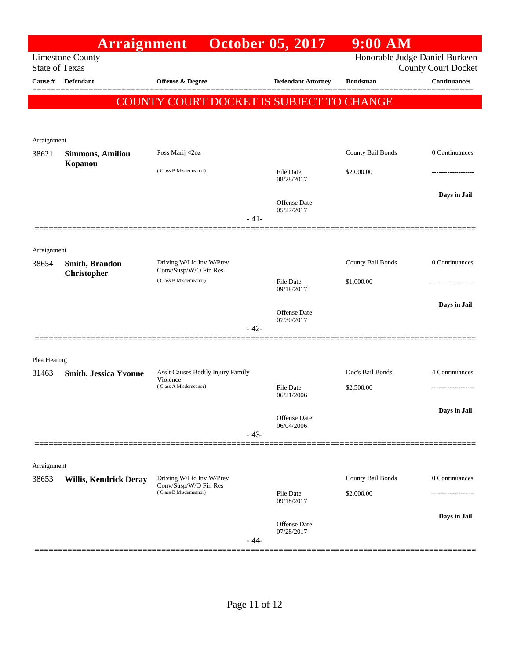| Honorable Judge Daniel Burkeen<br><b>Limestone County</b><br><b>State of Texas</b><br><b>County Court Docket</b><br>Defendant<br><b>Continuances</b><br>Offense & Degree<br><b>Defendant Attorney</b><br><b>Bondsman</b><br>======<br>COUNTY COURT DOCKET IS SUBJECT TO CHANGE<br>Arraignment<br>County Bail Bonds<br>0 Continuances<br>Poss Marij <2oz<br>38621<br><b>Simmons, Amiliou</b><br>Kopanou<br>(Class B Misdemeanor)<br>File Date<br>\$2,000.00<br>08/28/2017<br>Days in Jail<br><b>Offense Date</b><br>05/27/2017<br>$-41-$<br>Arraignment<br>Driving W/Lic Inv W/Prev<br>County Bail Bonds<br>0 Continuances<br>Smith, Brandon<br>38654<br>Conv/Susp/W/O Fin Res<br><b>Christopher</b><br>(Class B Misdemeanor)<br><b>File Date</b><br>\$1,000.00<br>09/18/2017<br>Days in Jail<br><b>Offense Date</b><br>07/30/2017<br>$-42-$<br>Plea Hearing<br>Doc's Bail Bonds<br>4 Continuances<br>Asslt Causes Bodily Injury Family<br>31463<br><b>Smith, Jessica Yvonne</b><br>Violence<br>(Class A Misdemeanor)<br><b>File Date</b><br>\$2,500.00<br>06/21/2006<br>Days in Jail<br>Offense Date<br>06/04/2006<br>$-43-$<br>Arraignment<br>County Bail Bonds<br>0 Continuances<br>Driving W/Lic Inv W/Prev<br><b>Willis, Kendrick Deray</b><br>Conv/Susp/W/O Fin Res<br>(Class B Misdemeanor)<br>File Date<br>\$2,000.00<br>09/18/2017<br>Days in Jail<br>Offense Date<br>07/28/2017<br>$-44-$ |         | Arraignment |  | <b>October 05, 2017</b> | $9:00$ AM |  |
|----------------------------------------------------------------------------------------------------------------------------------------------------------------------------------------------------------------------------------------------------------------------------------------------------------------------------------------------------------------------------------------------------------------------------------------------------------------------------------------------------------------------------------------------------------------------------------------------------------------------------------------------------------------------------------------------------------------------------------------------------------------------------------------------------------------------------------------------------------------------------------------------------------------------------------------------------------------------------------------------------------------------------------------------------------------------------------------------------------------------------------------------------------------------------------------------------------------------------------------------------------------------------------------------------------------------------------------------------------------------------------------------------|---------|-------------|--|-------------------------|-----------|--|
|                                                                                                                                                                                                                                                                                                                                                                                                                                                                                                                                                                                                                                                                                                                                                                                                                                                                                                                                                                                                                                                                                                                                                                                                                                                                                                                                                                                                    |         |             |  |                         |           |  |
|                                                                                                                                                                                                                                                                                                                                                                                                                                                                                                                                                                                                                                                                                                                                                                                                                                                                                                                                                                                                                                                                                                                                                                                                                                                                                                                                                                                                    | Cause # |             |  |                         |           |  |
|                                                                                                                                                                                                                                                                                                                                                                                                                                                                                                                                                                                                                                                                                                                                                                                                                                                                                                                                                                                                                                                                                                                                                                                                                                                                                                                                                                                                    |         |             |  |                         |           |  |
|                                                                                                                                                                                                                                                                                                                                                                                                                                                                                                                                                                                                                                                                                                                                                                                                                                                                                                                                                                                                                                                                                                                                                                                                                                                                                                                                                                                                    |         |             |  |                         |           |  |
|                                                                                                                                                                                                                                                                                                                                                                                                                                                                                                                                                                                                                                                                                                                                                                                                                                                                                                                                                                                                                                                                                                                                                                                                                                                                                                                                                                                                    |         |             |  |                         |           |  |
|                                                                                                                                                                                                                                                                                                                                                                                                                                                                                                                                                                                                                                                                                                                                                                                                                                                                                                                                                                                                                                                                                                                                                                                                                                                                                                                                                                                                    |         |             |  |                         |           |  |
|                                                                                                                                                                                                                                                                                                                                                                                                                                                                                                                                                                                                                                                                                                                                                                                                                                                                                                                                                                                                                                                                                                                                                                                                                                                                                                                                                                                                    |         |             |  |                         |           |  |
|                                                                                                                                                                                                                                                                                                                                                                                                                                                                                                                                                                                                                                                                                                                                                                                                                                                                                                                                                                                                                                                                                                                                                                                                                                                                                                                                                                                                    |         |             |  |                         |           |  |
|                                                                                                                                                                                                                                                                                                                                                                                                                                                                                                                                                                                                                                                                                                                                                                                                                                                                                                                                                                                                                                                                                                                                                                                                                                                                                                                                                                                                    |         |             |  |                         |           |  |
|                                                                                                                                                                                                                                                                                                                                                                                                                                                                                                                                                                                                                                                                                                                                                                                                                                                                                                                                                                                                                                                                                                                                                                                                                                                                                                                                                                                                    |         |             |  |                         |           |  |
|                                                                                                                                                                                                                                                                                                                                                                                                                                                                                                                                                                                                                                                                                                                                                                                                                                                                                                                                                                                                                                                                                                                                                                                                                                                                                                                                                                                                    |         |             |  |                         |           |  |
|                                                                                                                                                                                                                                                                                                                                                                                                                                                                                                                                                                                                                                                                                                                                                                                                                                                                                                                                                                                                                                                                                                                                                                                                                                                                                                                                                                                                    |         |             |  |                         |           |  |
|                                                                                                                                                                                                                                                                                                                                                                                                                                                                                                                                                                                                                                                                                                                                                                                                                                                                                                                                                                                                                                                                                                                                                                                                                                                                                                                                                                                                    |         |             |  |                         |           |  |
|                                                                                                                                                                                                                                                                                                                                                                                                                                                                                                                                                                                                                                                                                                                                                                                                                                                                                                                                                                                                                                                                                                                                                                                                                                                                                                                                                                                                    |         |             |  |                         |           |  |
|                                                                                                                                                                                                                                                                                                                                                                                                                                                                                                                                                                                                                                                                                                                                                                                                                                                                                                                                                                                                                                                                                                                                                                                                                                                                                                                                                                                                    |         |             |  |                         |           |  |
|                                                                                                                                                                                                                                                                                                                                                                                                                                                                                                                                                                                                                                                                                                                                                                                                                                                                                                                                                                                                                                                                                                                                                                                                                                                                                                                                                                                                    |         |             |  |                         |           |  |
|                                                                                                                                                                                                                                                                                                                                                                                                                                                                                                                                                                                                                                                                                                                                                                                                                                                                                                                                                                                                                                                                                                                                                                                                                                                                                                                                                                                                    |         |             |  |                         |           |  |
|                                                                                                                                                                                                                                                                                                                                                                                                                                                                                                                                                                                                                                                                                                                                                                                                                                                                                                                                                                                                                                                                                                                                                                                                                                                                                                                                                                                                    |         |             |  |                         |           |  |
|                                                                                                                                                                                                                                                                                                                                                                                                                                                                                                                                                                                                                                                                                                                                                                                                                                                                                                                                                                                                                                                                                                                                                                                                                                                                                                                                                                                                    |         |             |  |                         |           |  |
|                                                                                                                                                                                                                                                                                                                                                                                                                                                                                                                                                                                                                                                                                                                                                                                                                                                                                                                                                                                                                                                                                                                                                                                                                                                                                                                                                                                                    |         |             |  |                         |           |  |
|                                                                                                                                                                                                                                                                                                                                                                                                                                                                                                                                                                                                                                                                                                                                                                                                                                                                                                                                                                                                                                                                                                                                                                                                                                                                                                                                                                                                    |         |             |  |                         |           |  |
|                                                                                                                                                                                                                                                                                                                                                                                                                                                                                                                                                                                                                                                                                                                                                                                                                                                                                                                                                                                                                                                                                                                                                                                                                                                                                                                                                                                                    |         |             |  |                         |           |  |
|                                                                                                                                                                                                                                                                                                                                                                                                                                                                                                                                                                                                                                                                                                                                                                                                                                                                                                                                                                                                                                                                                                                                                                                                                                                                                                                                                                                                    |         |             |  |                         |           |  |
|                                                                                                                                                                                                                                                                                                                                                                                                                                                                                                                                                                                                                                                                                                                                                                                                                                                                                                                                                                                                                                                                                                                                                                                                                                                                                                                                                                                                    |         |             |  |                         |           |  |
|                                                                                                                                                                                                                                                                                                                                                                                                                                                                                                                                                                                                                                                                                                                                                                                                                                                                                                                                                                                                                                                                                                                                                                                                                                                                                                                                                                                                    |         |             |  |                         |           |  |
|                                                                                                                                                                                                                                                                                                                                                                                                                                                                                                                                                                                                                                                                                                                                                                                                                                                                                                                                                                                                                                                                                                                                                                                                                                                                                                                                                                                                    |         |             |  |                         |           |  |
|                                                                                                                                                                                                                                                                                                                                                                                                                                                                                                                                                                                                                                                                                                                                                                                                                                                                                                                                                                                                                                                                                                                                                                                                                                                                                                                                                                                                    | 38653   |             |  |                         |           |  |
|                                                                                                                                                                                                                                                                                                                                                                                                                                                                                                                                                                                                                                                                                                                                                                                                                                                                                                                                                                                                                                                                                                                                                                                                                                                                                                                                                                                                    |         |             |  |                         |           |  |
|                                                                                                                                                                                                                                                                                                                                                                                                                                                                                                                                                                                                                                                                                                                                                                                                                                                                                                                                                                                                                                                                                                                                                                                                                                                                                                                                                                                                    |         |             |  |                         |           |  |
|                                                                                                                                                                                                                                                                                                                                                                                                                                                                                                                                                                                                                                                                                                                                                                                                                                                                                                                                                                                                                                                                                                                                                                                                                                                                                                                                                                                                    |         |             |  |                         |           |  |
|                                                                                                                                                                                                                                                                                                                                                                                                                                                                                                                                                                                                                                                                                                                                                                                                                                                                                                                                                                                                                                                                                                                                                                                                                                                                                                                                                                                                    |         |             |  |                         |           |  |